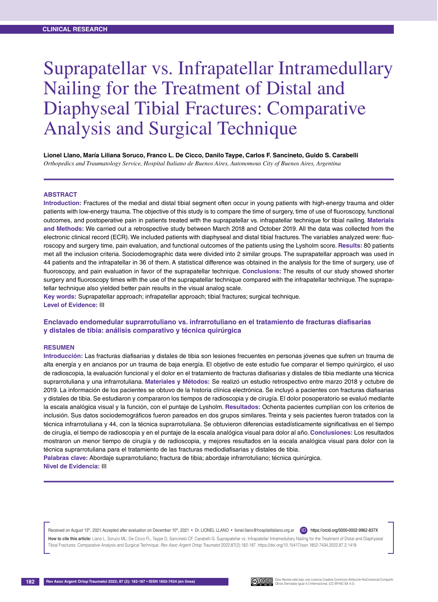# Suprapatellar vs. Infrapatellar Intramedullary Nailing for the Treatment of Distal and Diaphyseal Tibial Fractures: Comparative Analysis and Surgical Technique

**Lionel Llano, María Liliana Soruco, Franco L. De Cicco, Danilo Taype, Carlos F. Sancineto, Guido S. Carabelli** *Orthopedics and Traumatology Service, Hospital Italiano de Buenos Aires, Autonomous City of Buenos Aires, Argentina*

#### **Abstract**

**Introduction:** Fractures of the medial and distal tibial segment often occur in young patients with high-energy trauma and older patients with low-energy trauma. The objective of this study is to compare the time of surgery, time of use of fluoroscopy, functional outcomes, and postoperative pain in patients treated with the suprapatellar vs. infrapatellar technique for tibial nailing. **Materials and Methods:** We carried out a retrospective study between March 2018 and October 2019. All the data was collected from the electronic clinical record (ECR). We included patients with diaphyseal and distal tibial fractures. The variables analyzed were: fluoroscopy and surgery time, pain evaluation, and functional outcomes of the patients using the Lysholm score. **Results:** 80 patients met all the inclusion criteria. Sociodemographic data were divided into 2 similar groups. The suprapatellar approach was used in 44 patients and the infrapatellar in 36 of them. A statistical difference was obtained in the analysis for the time of surgery, use of fluoroscopy, and pain evaluation in favor of the suprapatellar technique. **Conclusions:** The results of our study showed shorter surgery and fluoroscopy times with the use of the suprapatellar technique compared with the infrapatellar technique. The suprapatellar technique also yielded better pain results in the visual analog scale.

**Key words:** Suprapatellar approach; infrapatellar approach; tibial fractures; surgical technique. **Level of Evidence:** III

### **Enclavado endomedular suprarrotuliano vs. infrarrotuliano en el tratamiento de fracturas diafisarias y distales de tibia: análisis comparativo y técnica quirúrgica**

#### **Resumen**

**Introducción:** Las fracturas diafisarias y distales de tibia son lesiones frecuentes en personas jóvenes que sufren un trauma de alta energía y en ancianos por un trauma de baja energía. El objetivo de este estudio fue comparar el tiempo quirúrgico, el uso de radioscopia, la evaluación funcional y el dolor en el tratamiento de fracturas diafisarias y distales de tibia mediante una técnica suprarrotuliana y una infrarrotuliana. **Materiales y Métodos:** Se realizó un estudio retrospectivo entre marzo 2018 y octubre de 2019. La información de los pacientes se obtuvo de la historia clínica electrónica. Se incluyó a pacientes con fracturas diafisarias y distales de tibia. Se estudiaron y compararon los tiempos de radioscopia y de cirugía. El dolor posoperatorio se evaluó mediante la escala analógica visual y la función, con el puntaje de Lysholm. **Resultados:** Ochenta pacientes cumplían con los criterios de inclusión. Sus datos sociodemográficos fueron pareados en dos grupos similares. Treinta y seis pacientes fueron tratados con la técnica infrarrotuliana y 44, con la técnica suprarrotuliana. Se obtuvieron diferencias estadísticamente significativas en el tiempo de cirugía, el tiempo de radioscopia y en el puntaje de la escala analógica visual para dolor al año. **Conclusiones:** Los resultados mostraron un menor tiempo de cirugía y de radioscopia, y mejores resultados en la escala analógica visual para dolor con la técnica suprarrotuliana para el tratamiento de las fracturas mediodiafisarias y distales de tibia.

**Palabras clave:** Abordaje suprarrotuliano; fractura de tibia; abordaje infrarrotuliano; técnica quirúrgica. **Nivel de Evidencia:** III

Received on August 13th, 2021. Accepted after evaluation on December 10th, 2021 • Dr. LIONEL LLANO • lionel.llano@hospitalitaliano.org.ar (ID) https://orcid.org/0000-0002-9962-837X

How to cite this article: Llano L, Soruco ML, De Cicco FL, Taype D, Sancineto CF, Carabelli G. Suprapatellar vs. Infrapatellar Intramedullary Nailing for the Treatment of Distal and Diaphyseal Tibial Fractures: Comparative Analysis and Surgical Technique. *Rev Asoc Argent Ortop Traumatol* 2022;87(2):182-187. https://doi.org/10.15417/issn.1852-7434.2022.87.2.1418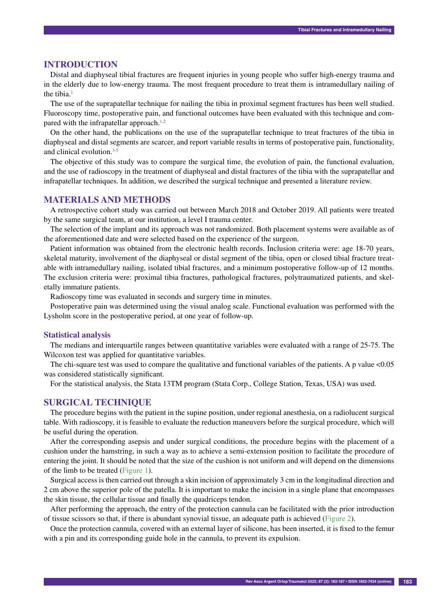## **INTRODUCTION**

Distal and diaphyseal tibial fractures are frequent injuries in young people who suffer high-energy trauma and in the elderly due to low-energy trauma. The most frequent procedure to treat them is intramedullary nailing of the tibia. $<sup>1</sup>$ </sup>

The use of the suprapatellar technique for nailing the tibia in proximal segment fractures has been well studied. Fluoroscopy time, postoperative pain, and functional outcomes have been evaluated with this technique and compared with the infrapatellar approach.<sup>1,2</sup>

On the other hand, the publications on the use of the suprapatellar technique to treat fractures of the tibia in diaphyseal and distal segments are scarcer, and report variable results in terms of postoperative pain, functionality, and clinical evolution.<sup>3-5</sup>

The objective of this study was to compare the surgical time, the evolution of pain, the functional evaluation, and the use of radioscopy in the treatment of diaphyseal and distal fractures of the tibia with the suprapatellar and infrapatellar techniques. In addition, we described the surgical technique and presented a literature review.

## **MATERIALS AND METHODS**

A retrospective cohort study was carried out between March 2018 and October 2019. All patients were treated by the same surgical team, at our institution, a level I trauma center.

The selection of the implant and its approach was not randomized. Both placement systems were available as of the aforementioned date and were selected based on the experience of the surgeon.

Patient information was obtained from the electronic health records. Inclusion criteria were: age 18-70 years, skeletal maturity, involvement of the diaphyseal or distal segment of the tibia, open or closed tibial fracture treatable with intramedullary nailing, isolated tibial fractures, and a minimum postoperative follow-up of 12 months. The exclusion criteria were: proximal tibia fractures, pathological fractures, polytraumatized patients, and skeletally immature patients.

Radioscopy time was evaluated in seconds and surgery time in minutes.

Postoperative pain was determined using the visual analog scale. Functional evaluation was performed with the Lysholm score in the postoperative period, at one year of follow-up.

#### **Statistical analysis**

The medians and interquartile ranges between quantitative variables were evaluated with a range of 25-75. The Wilcoxon test was applied for quantitative variables.

The chi-square test was used to compare the qualitative and functional variables of the patients. A p value <0.05 was considered statistically significant.

For the statistical analysis, the Stata 13TM program (Stata Corp., College Station, Texas, USA) was used.

#### **SURGICAL TECHNIQUE**

The procedure begins with the patient in the supine position, under regional anesthesia, on a radiolucent surgical table. With radioscopy, it is feasible to evaluate the reduction maneuvers before the surgical procedure, which will be useful during the operation.

After the corresponding asepsis and under surgical conditions, the procedure begins with the placement of a cushion under the hamstring, in such a way as to achieve a semi-extension position to facilitate the procedure of entering the joint. It should be noted that the size of the cushion is not uniform and will depend on the dimensions of the limb to be treated (Figure 1).

Surgical access is then carried out through a skin incision of approximately 3 cm in the longitudinal direction and 2 cm above the superior pole of the patella. It is important to make the incision in a single plane that encompasses the skin tissue, the cellular tissue and finally the quadriceps tendon.

After performing the approach, the entry of the protection cannula can be facilitated with the prior introduction of tissue scissors so that, if there is abundant synovial tissue, an adequate path is achieved (Figure 2).

Once the protection cannula, covered with an external layer of silicone, has been inserted, it is fixed to the femur with a pin and its corresponding guide hole in the cannula, to prevent its expulsion.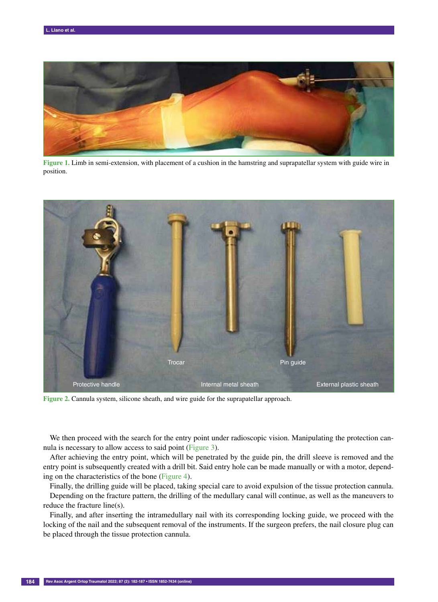

**Figure 1.** Limb in semi-extension, with placement of a cushion in the hamstring and suprapatellar system with guide wire in position.



**Figure 2.** Cannula system, silicone sheath, and wire guide for the suprapatellar approach.

We then proceed with the search for the entry point under radioscopic vision. Manipulating the protection cannula is necessary to allow access to said point (Figure 3).

After achieving the entry point, which will be penetrated by the guide pin, the drill sleeve is removed and the entry point is subsequently created with a drill bit. Said entry hole can be made manually or with a motor, depending on the characteristics of the bone (Figure 4).

Finally, the drilling guide will be placed, taking special care to avoid expulsion of the tissue protection cannula. Depending on the fracture pattern, the drilling of the medullary canal will continue, as well as the maneuvers to reduce the fracture line(s).

Finally, and after inserting the intramedullary nail with its corresponding locking guide, we proceed with the locking of the nail and the subsequent removal of the instruments. If the surgeon prefers, the nail closure plug can be placed through the tissue protection cannula.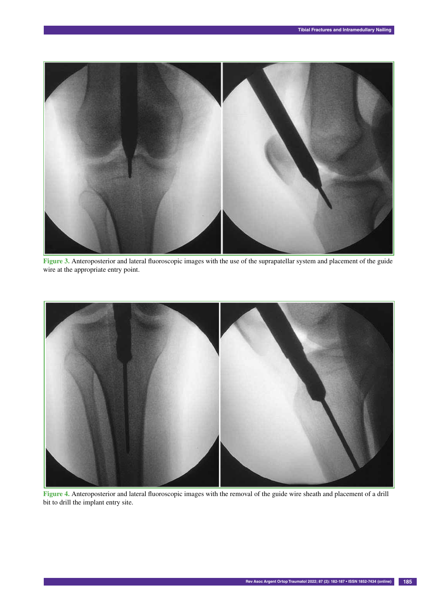

**Figure 3.** Anteroposterior and lateral fluoroscopic images with the use of the suprapatellar system and placement of the guide wire at the appropriate entry point.



**Figure 4.** Anteroposterior and lateral fluoroscopic images with the removal of the guide wire sheath and placement of a drill bit to drill the implant entry site.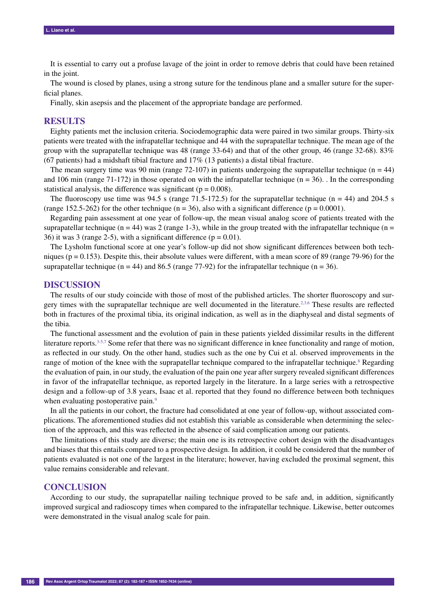It is essential to carry out a profuse lavage of the joint in order to remove debris that could have been retained in the joint.

The wound is closed by planes, using a strong suture for the tendinous plane and a smaller suture for the superficial planes.

Finally, skin asepsis and the placement of the appropriate bandage are performed.

## **RESULTS**

Eighty patients met the inclusion criteria. Sociodemographic data were paired in two similar groups. Thirty-six patients were treated with the infrapatellar technique and 44 with the suprapatellar technique. The mean age of the group with the suprapatellar technique was 48 (range 33-64) and that of the other group, 46 (range 32-68). 83% (67 patients) had a midshaft tibial fracture and 17% (13 patients) a distal tibial fracture.

The mean surgery time was 90 min (range 72-107) in patients undergoing the suprapatellar technique ( $n = 44$ ) and 106 min (range 71-172) in those operated on with the infrapatellar technique ( $n = 36$ ). In the corresponding statistical analysis, the difference was significant ( $p = 0.008$ ).

The fluoroscopy use time was 94.5 s (range 71.5-172.5) for the suprapatellar technique ( $n = 44$ ) and 204.5 s (range 152.5-262) for the other technique ( $n = 36$ ), also with a significant difference ( $p = 0.0001$ ).

Regarding pain assessment at one year of follow-up, the mean visual analog score of patients treated with the suprapatellar technique ( $n = 44$ ) was 2 (range 1-3), while in the group treated with the infrapatellar technique ( $n =$ 36) it was 3 (range 2-5), with a significant difference ( $p = 0.01$ ).

The Lysholm functional score at one year's follow-up did not show significant differences between both techniques ( $p = 0.153$ ). Despite this, their absolute values were different, with a mean score of 89 (range 79-96) for the suprapatellar technique (n = 44) and 86.5 (range 77-92) for the infrapatellar technique (n = 36).

#### **DISCUSSION**

The results of our study coincide with those of most of the published articles. The shorter fluoroscopy and surgery times with the suprapatellar technique are well documented in the literature.<sup>2,3,6</sup> These results are reflected both in fractures of the proximal tibia, its original indication, as well as in the diaphyseal and distal segments of the tibia.

The functional assessment and the evolution of pain in these patients yielded dissimilar results in the different literature reports.<sup>3-5,7</sup> Some refer that there was no significant difference in knee functionality and range of motion, as reflected in our study. On the other hand, studies such as the one by Cui et al. observed improvements in the range of motion of the knee with the suprapatellar technique compared to the infrapatellar technique.<sup>8</sup> Regarding the evaluation of pain, in our study, the evaluation of the pain one year after surgery revealed significant differences in favor of the infrapatellar technique, as reported largely in the literature. In a large series with a retrospective design and a follow-up of 3.8 years, Isaac et al. reported that they found no difference between both techniques when evaluating postoperative pain.<sup>9</sup>

In all the patients in our cohort, the fracture had consolidated at one year of follow-up, without associated complications. The aforementioned studies did not establish this variable as considerable when determining the selection of the approach, and this was reflected in the absence of said complication among our patients.

The limitations of this study are diverse; the main one is its retrospective cohort design with the disadvantages and biases that this entails compared to a prospective design. In addition, it could be considered that the number of patients evaluated is not one of the largest in the literature; however, having excluded the proximal segment, this value remains considerable and relevant.

### **CONCLUSION**

According to our study, the suprapatellar nailing technique proved to be safe and, in addition, significantly improved surgical and radioscopy times when compared to the infrapatellar technique. Likewise, better outcomes were demonstrated in the visual analog scale for pain.